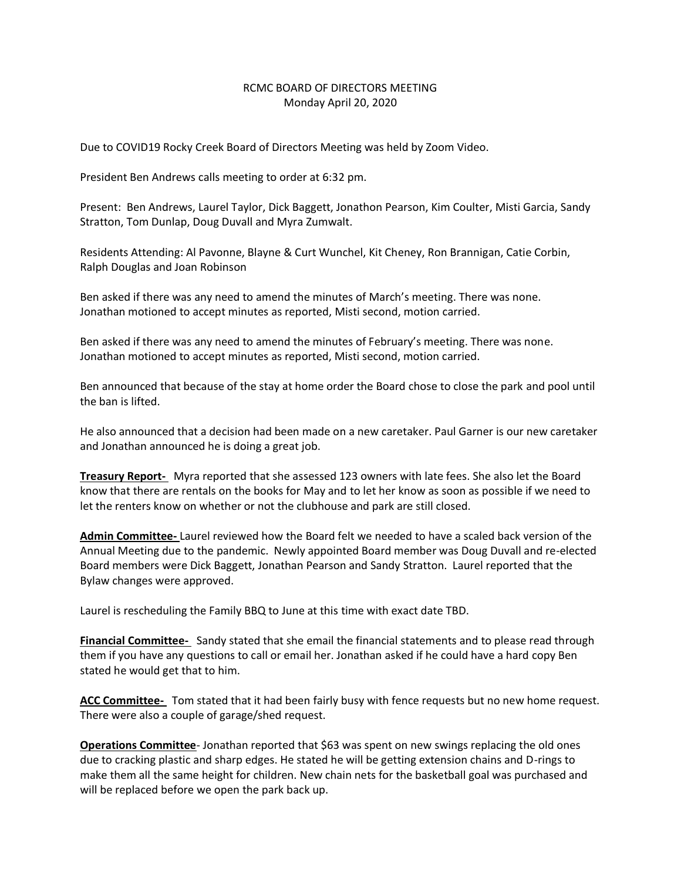## RCMC BOARD OF DIRECTORS MEETING Monday April 20, 2020

Due to COVID19 Rocky Creek Board of Directors Meeting was held by Zoom Video.

President Ben Andrews calls meeting to order at 6:32 pm.

Present: Ben Andrews, Laurel Taylor, Dick Baggett, Jonathon Pearson, Kim Coulter, Misti Garcia, Sandy Stratton, Tom Dunlap, Doug Duvall and Myra Zumwalt.

Residents Attending: Al Pavonne, Blayne & Curt Wunchel, Kit Cheney, Ron Brannigan, Catie Corbin, Ralph Douglas and Joan Robinson

Ben asked if there was any need to amend the minutes of March's meeting. There was none. Jonathan motioned to accept minutes as reported, Misti second, motion carried.

Ben asked if there was any need to amend the minutes of February's meeting. There was none. Jonathan motioned to accept minutes as reported, Misti second, motion carried.

Ben announced that because of the stay at home order the Board chose to close the park and pool until the ban is lifted.

He also announced that a decision had been made on a new caretaker. Paul Garner is our new caretaker and Jonathan announced he is doing a great job.

**Treasury Report-** Myra reported that she assessed 123 owners with late fees. She also let the Board know that there are rentals on the books for May and to let her know as soon as possible if we need to let the renters know on whether or not the clubhouse and park are still closed.

**Admin Committee-** Laurel reviewed how the Board felt we needed to have a scaled back version of the Annual Meeting due to the pandemic. Newly appointed Board member was Doug Duvall and re-elected Board members were Dick Baggett, Jonathan Pearson and Sandy Stratton. Laurel reported that the Bylaw changes were approved.

Laurel is rescheduling the Family BBQ to June at this time with exact date TBD.

**Financial Committee-** Sandy stated that she email the financial statements and to please read through them if you have any questions to call or email her. Jonathan asked if he could have a hard copy Ben stated he would get that to him.

**ACC Committee-** Tom stated that it had been fairly busy with fence requests but no new home request. There were also a couple of garage/shed request.

**Operations Committee**- Jonathan reported that \$63 was spent on new swings replacing the old ones due to cracking plastic and sharp edges. He stated he will be getting extension chains and D-rings to make them all the same height for children. New chain nets for the basketball goal was purchased and will be replaced before we open the park back up.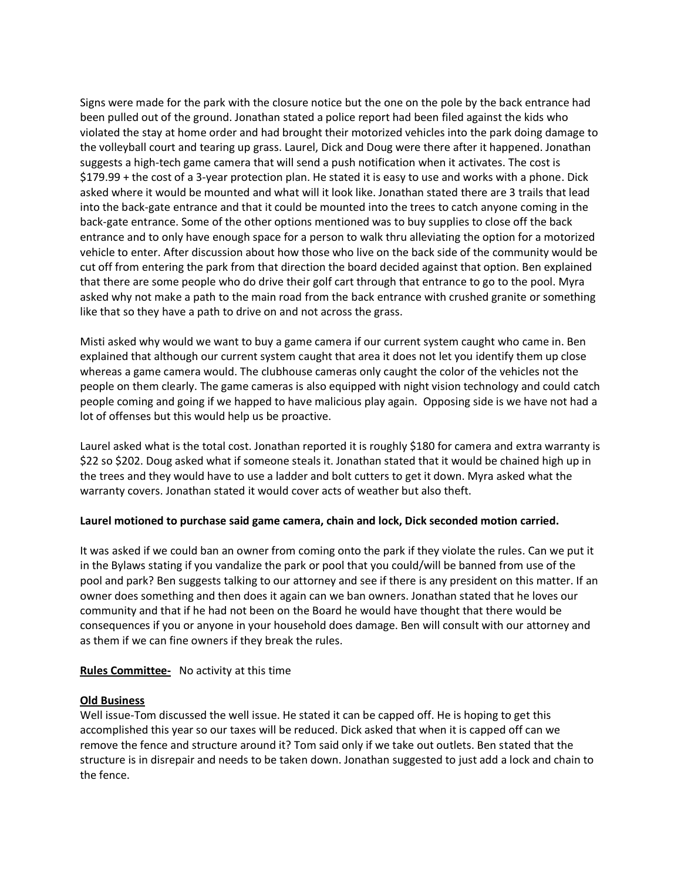Signs were made for the park with the closure notice but the one on the pole by the back entrance had been pulled out of the ground. Jonathan stated a police report had been filed against the kids who violated the stay at home order and had brought their motorized vehicles into the park doing damage to the volleyball court and tearing up grass. Laurel, Dick and Doug were there after it happened. Jonathan suggests a high-tech game camera that will send a push notification when it activates. The cost is \$179.99 + the cost of a 3-year protection plan. He stated it is easy to use and works with a phone. Dick asked where it would be mounted and what will it look like. Jonathan stated there are 3 trails that lead into the back-gate entrance and that it could be mounted into the trees to catch anyone coming in the back-gate entrance. Some of the other options mentioned was to buy supplies to close off the back entrance and to only have enough space for a person to walk thru alleviating the option for a motorized vehicle to enter. After discussion about how those who live on the back side of the community would be cut off from entering the park from that direction the board decided against that option. Ben explained that there are some people who do drive their golf cart through that entrance to go to the pool. Myra asked why not make a path to the main road from the back entrance with crushed granite or something like that so they have a path to drive on and not across the grass.

Misti asked why would we want to buy a game camera if our current system caught who came in. Ben explained that although our current system caught that area it does not let you identify them up close whereas a game camera would. The clubhouse cameras only caught the color of the vehicles not the people on them clearly. The game cameras is also equipped with night vision technology and could catch people coming and going if we happed to have malicious play again. Opposing side is we have not had a lot of offenses but this would help us be proactive.

Laurel asked what is the total cost. Jonathan reported it is roughly \$180 for camera and extra warranty is \$22 so \$202. Doug asked what if someone steals it. Jonathan stated that it would be chained high up in the trees and they would have to use a ladder and bolt cutters to get it down. Myra asked what the warranty covers. Jonathan stated it would cover acts of weather but also theft.

## **Laurel motioned to purchase said game camera, chain and lock, Dick seconded motion carried.**

It was asked if we could ban an owner from coming onto the park if they violate the rules. Can we put it in the Bylaws stating if you vandalize the park or pool that you could/will be banned from use of the pool and park? Ben suggests talking to our attorney and see if there is any president on this matter. If an owner does something and then does it again can we ban owners. Jonathan stated that he loves our community and that if he had not been on the Board he would have thought that there would be consequences if you or anyone in your household does damage. Ben will consult with our attorney and as them if we can fine owners if they break the rules.

# **Rules Committee-** No activity at this time

## **Old Business**

Well issue-Tom discussed the well issue. He stated it can be capped off. He is hoping to get this accomplished this year so our taxes will be reduced. Dick asked that when it is capped off can we remove the fence and structure around it? Tom said only if we take out outlets. Ben stated that the structure is in disrepair and needs to be taken down. Jonathan suggested to just add a lock and chain to the fence.